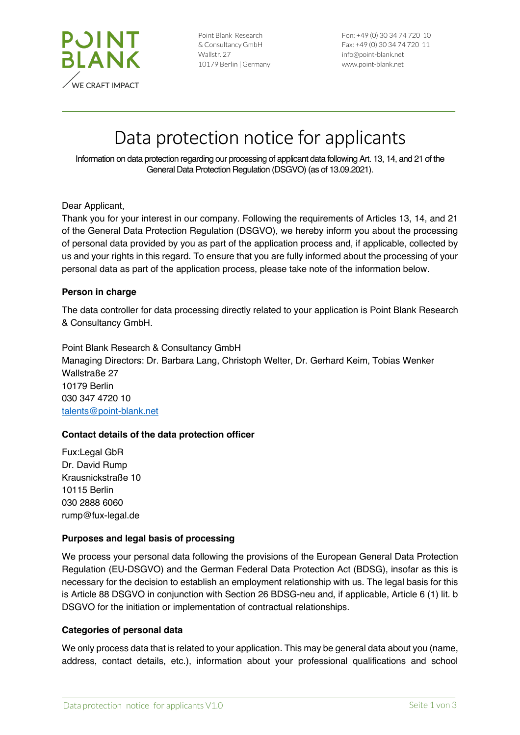

| Point Blank Research   |
|------------------------|
| & Consultancy GmbH     |
| Wallstr, 27            |
| 10179 Berlin   Germany |

Fon: +49 (0) 30 34 74 720 10 Fax: +49 (0) 30 34 74 720 11 info@point-blank.net www.point-blank.net

# Data protection notice for applicants

Information on data protection regarding our processing of applicant data following Art. 13, 14, and 21 of the General Data Protection Regulation (DSGVO) (as of 13.09.2021).

Dear Applicant,

Thank you for your interest in our company. Following the requirements of Articles 13, 14, and 21 of the General Data Protection Regulation (DSGVO), we hereby inform you about the processing of personal data provided by you as part of the application process and, if applicable, collected by us and your rights in this regard. To ensure that you are fully informed about the processing of your personal data as part of the application process, please take note of the information below.

#### **Person in charge**

The data controller for data processing directly related to your application is Point Blank Research & Consultancy GmbH.

Point Blank Research & Consultancy GmbH Managing Directors: Dr. Barbara Lang, Christoph Welter, Dr. Gerhard Keim, Tobias Wenker Wallstraße 27 10179 Berlin 030 347 4720 10 talents@point-blank.net

## **Contact details of the data protection officer**

Fux:Legal GbR Dr. David Rump Krausnickstraße 10 10115 Berlin 030 2888 6060 rump@fux-legal.de

## **Purposes and legal basis of processing**

We process your personal data following the provisions of the European General Data Protection Regulation (EU-DSGVO) and the German Federal Data Protection Act (BDSG), insofar as this is necessary for the decision to establish an employment relationship with us. The legal basis for this is Article 88 DSGVO in conjunction with Section 26 BDSG-neu and, if applicable, Article 6 (1) lit. b DSGVO for the initiation or implementation of contractual relationships.

#### **Categories of personal data**

We only process data that is related to your application. This may be general data about you (name, address, contact details, etc.), information about your professional qualifications and school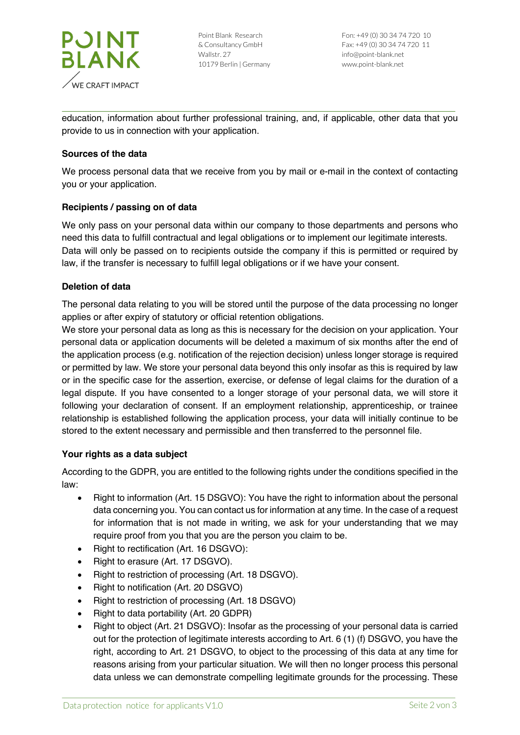

education, information about further professional training, and, if applicable, other data that you provide to us in connection with your application.

# **Sources of the data**

We process personal data that we receive from you by mail or e-mail in the context of contacting you or your application.

## **Recipients / passing on of data**

We only pass on your personal data within our company to those departments and persons who need this data to fulfill contractual and legal obligations or to implement our legitimate interests. Data will only be passed on to recipients outside the company if this is permitted or required by law, if the transfer is necessary to fulfill legal obligations or if we have your consent.

## **Deletion of data**

The personal data relating to you will be stored until the purpose of the data processing no longer applies or after expiry of statutory or official retention obligations.

We store your personal data as long as this is necessary for the decision on your application. Your personal data or application documents will be deleted a maximum of six months after the end of the application process (e.g. notification of the rejection decision) unless longer storage is required or permitted by law. We store your personal data beyond this only insofar as this is required by law or in the specific case for the assertion, exercise, or defense of legal claims for the duration of a legal dispute. If you have consented to a longer storage of your personal data, we will store it following your declaration of consent. If an employment relationship, apprenticeship, or trainee relationship is established following the application process, your data will initially continue to be stored to the extent necessary and permissible and then transferred to the personnel file.

## **Your rights as a data subject**

According to the GDPR, you are entitled to the following rights under the conditions specified in the law:

- Right to information (Art. 15 DSGVO): You have the right to information about the personal data concerning you. You can contact us for information at any time. In the case of a request for information that is not made in writing, we ask for your understanding that we may require proof from you that you are the person you claim to be.
- Right to rectification (Art. 16 DSGVO):
- Right to erasure (Art. 17 DSGVO).
- Right to restriction of processing (Art. 18 DSGVO).
- Right to notification (Art. 20 DSGVO)
- Right to restriction of processing (Art. 18 DSGVO)
- Right to data portability (Art. 20 GDPR)
- Right to object (Art. 21 DSGVO): Insofar as the processing of your personal data is carried out for the protection of legitimate interests according to Art. 6 (1) (f) DSGVO, you have the right, according to Art. 21 DSGVO, to object to the processing of this data at any time for reasons arising from your particular situation. We will then no longer process this personal data unless we can demonstrate compelling legitimate grounds for the processing. These